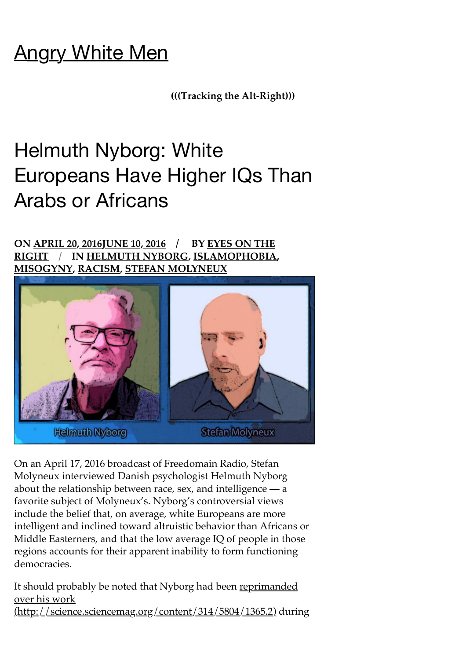## [Angry White Men](https://angrywhitemen.org/)

**(((Tracking the Alt-Right)))**

## Helmuth Nyborg: White Europeans Have Higher IQs Than Arabs or Africans

## **ON [APRIL 20, 2016JUNE 10, 2016](https://angrywhitemen.org/2016/04/20/helmuth-nyborg-white-europeans-have-higher-iqs-than-arabs-or-africans/) / BY EYES ON THE RIGHT / [IN HELMUTH NYBORG, ISLAMOPHOBI](https://angrywhitemen.org/author/angrywhitemen2050/)[A,](https://angrywhitemen.org/category/topics/islamophobia/) [MISOGYNY](https://angrywhitemen.org/category/topics/misogyny/), [RACISM](https://angrywhitemen.org/category/topics/racism/), [STEFAN MOLYNEUX](https://angrywhitemen.org/category/people/stefan-molyneux/)**



On an April 17, 2016 broadcast of Freedomain Radio, Stefan Molyneux interviewed Danish psychologist Helmuth Nyborg about the relationship between race, sex, and intelligence — a favorite subject of Molyneux's. Nyborg's controversial views include the belief that, on average, white Europeans are more intelligent and inclined toward altruistic behavior than Africans or Middle Easterners, and that the low average IQ of people in those regions accounts for their apparent inability to form functioning democracies.

[It should probably be noted that Nyborg had been reprimanded](http://science.sciencemag.org/content/314/5804/1365.2) over his work (http://science.sciencemag.org/content/314/5804/1365.2) during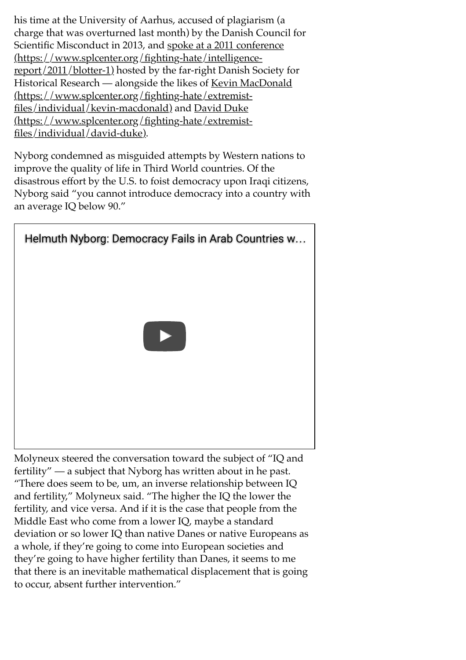his time at the University of Aarhus, accused of plagiarism (a charge that was overturned last month) by the Danish Council for [Scientific Misconduct in 2013, and spoke at a 2011 conference](https://www.splcenter.org/fighting-hate/intelligence-report/2011/blotter-1) (https://www.splcenter.org/fighting-hate/intelligencereport/2011/blotter-1) hosted by the far-right Danish Society for [Historical Research — alongside the likes of Kevin MacDonald](https://www.splcenter.org/fighting-hate/extremist-files/individual/kevin-macdonald) (https://www.splcenter.org/fighting-hate/extremistfiles/individual/kevin-macdonald) and David Duke [\(https://www.splcenter.org/fighting-hate/extremist](https://www.splcenter.org/fighting-hate/extremist-files/individual/david-duke)files/individual/david-duke).

Nyborg condemned as misguided attempts by Western nations to improve the quality of life in Third World countries. Of the disastrous effort by the U.S. to foist democracy upon Iraqi citizens, Nyborg said "you cannot introduce democracy into a country with an average IQ below 90."



Molyneux steered the conversation toward the subject of "IQ and fertility" — a subject that Nyborg has written about in he past. "There does seem to be, um, an inverse relationship between  $IQ$ and fertility," Molyneux said. "The higher the IQ the lower the fertility, and vice versa. And if it is the case that people from the Middle East who come from a lower IQ, maybe a standard deviation or so lower IQ than native Danes or native Europeans as a whole, if they're going to come into European societies and they're going to have higher fertility than Danes, it seems to me that there is an inevitable mathematical displacement that is going to occur, absent further intervention."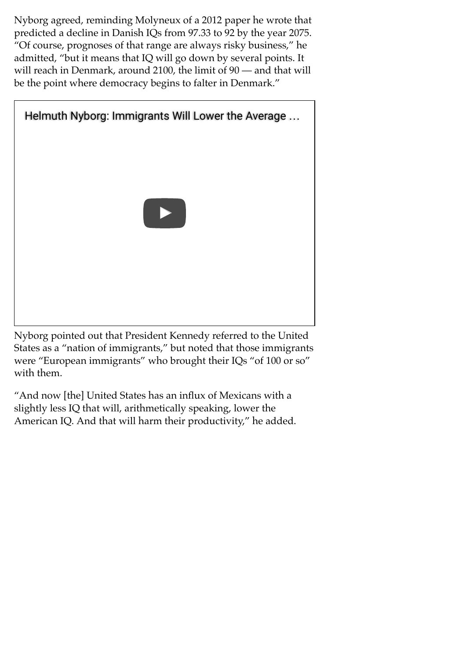Nyborg agreed, reminding Molyneux of a 2012 paper he wrote that predicted a decline in Danish IQs from 97.33 to 92 by the year 2075. "Of course, prognoses of that range are always risky business," he admitted, "but it means that IQ will go down by several points. It will reach in Denmark, around 2100, the limit of 90 — and that will be the point where democracy begins to falter in Denmark."



Nyborg pointed out that President Kennedy referred to the United States as a "nation of immigrants," but noted that those immigrants were "European immigrants" who brought their IQs "of 100 or so" with them.

"And now [the] United States has an influx of Mexicans with a slightly less IQ that will, arithmetically speaking, lower the American IQ. And that will harm their productivity," he added.